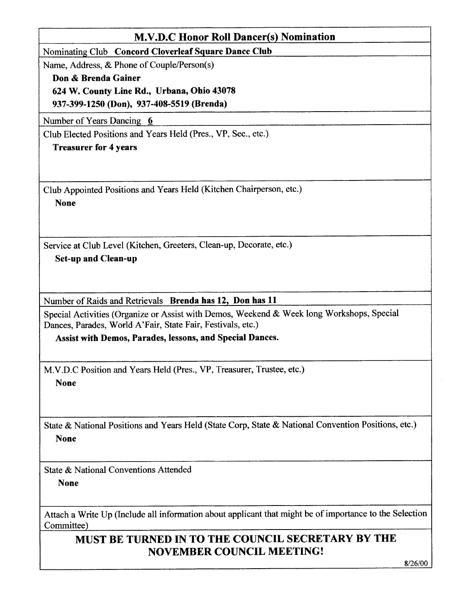| <b>M.V.D.C Honor Roll Dancer(s) Nomination</b>                                                                                                                                                                       |
|----------------------------------------------------------------------------------------------------------------------------------------------------------------------------------------------------------------------|
| Nominating Club Concord Cloverleaf Square Dance Club                                                                                                                                                                 |
| Name, Address, & Phone of Couple/Person(s)                                                                                                                                                                           |
| Don & Brenda Gainer                                                                                                                                                                                                  |
| 624 W. County Line Rd., Urbana, Ohio 43078                                                                                                                                                                           |
| 937-399-1250 (Don), 937-408-5519 (Brenda)                                                                                                                                                                            |
| Number of Years Dancing 6                                                                                                                                                                                            |
| Club Elected Positions and Years Held (Pres., VP, Sec., etc.)                                                                                                                                                        |
| <b>Treasurer for 4 years</b>                                                                                                                                                                                         |
|                                                                                                                                                                                                                      |
| Club Appointed Positions and Years Held (Kitchen Chairperson, etc.)<br><b>None</b>                                                                                                                                   |
| Service at Club Level (Kitchen, Greeters, Clean-up, Decorate, etc.)<br><b>Set-up and Clean-up</b>                                                                                                                    |
| Number of Raids and Retrievals Brenda has 12, Don has 11<br>Special Activities (Organize or Assist with Demos, Weekend & Week long Workshops, Special<br>Dances, Parades, World A'Fair, State Fair, Festivals, etc.) |
| <b>Assist with Demos, Parades, lessons, and Special Dances.</b>                                                                                                                                                      |
| M.V.D.C Position and Years Held (Pres., VP, Treasurer, Trustee, etc.)<br><b>None</b>                                                                                                                                 |
| State & National Positions and Years Held (State Corp, State & National Convention Positions, etc.)<br><b>None</b>                                                                                                   |
| State & National Conventions Attended<br><b>None</b>                                                                                                                                                                 |
| Attach a Write Up (Include all information about applicant that might be of importance to the Selection<br>Committee)                                                                                                |
| MUST BE TURNED IN TO THE COUNCIL SECRETARY BY THE<br><b>NOVEMBER COUNCIL MEETING!</b>                                                                                                                                |

 $8/26/00$